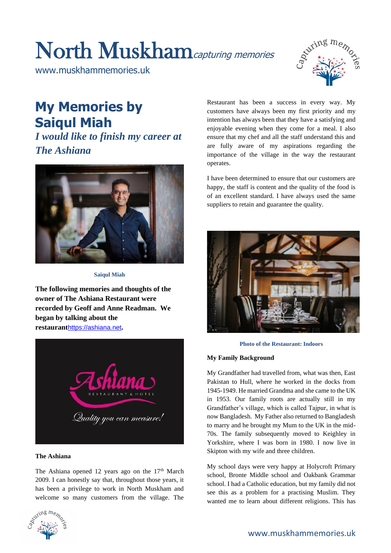# North Muskhamcapturing memories

www.muskhammemories.uk



# **My Memories by Saiqul Miah**

*I would like to finish my career at The Ashiana*



**Saiqul Miah** 

**The following memories and thoughts of the owner of The Ashiana Restaurant were recorded by Geoff and Anne Readman. We began by talking about the restaurant**[https://ashiana.net](https://ashiana.net/)**.**



# **The Ashiana**

The Ashiana opened 12 years ago on the  $17<sup>th</sup>$  March 2009. I can honestly say that, throughout those years, it has been a privilege to work in North Muskham and welcome so many customers from the village. The



Restaurant has been a success in every way. My customers have always been my first priority and my intention has always been that they have a satisfying and enjoyable evening when they come for a meal. I also ensure that my chef and all the staff understand this and are fully aware of my aspirations regarding the importance of the village in the way the restaurant operates.

I have been determined to ensure that our customers are happy, the staff is content and the quality of the food is of an excellent standard. I have always used the same suppliers to retain and guarantee the quality.



### **Photo of the Restaurant: Indoors**

### **My Family Background**

My Grandfather had travelled from, what was then, East Pakistan to Hull, where he worked in the docks from 1945-1949. He married Grandma and she came to the UK in 1953. Our family roots are actually still in my Grandfather's village, which is called Tajpur, in what is now Bangladesh. My Father also returned to Bangladesh to marry and he brought my Mum to the UK in the mid-70s. The family subsequently moved to Keighley in Yorkshire, where I was born in 1980. I now live in Skipton with my wife and three children.

My school days were very happy at Holycroft Primary school, Bronte Middle school and Oakbank Grammar school. I had a Catholic education, but my family did not see this as a problem for a practising Muslim. They wanted me to learn about different religions. This has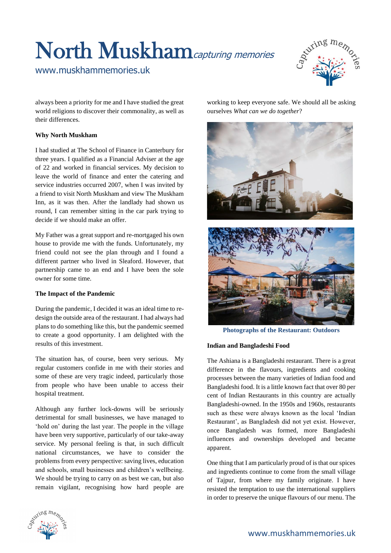# North Muskhamcapturing memories

www.muskhammemories.uk



always been a priority for me and I have studied the great world religions to discover their commonality, as well as their differences.

# **Why North Muskham**

I had studied at The School of Finance in Canterbury for three years. I qualified as a Financial Adviser at the age of 22 and worked in financial services. My decision to leave the world of finance and enter the catering and service industries occurred 2007, when I was invited by a friend to visit North Muskham and view The Muskham Inn, as it was then. After the landlady had shown us round, I can remember sitting in the car park trying to decide if we should make an offer.

My Father was a great support and re-mortgaged his own house to provide me with the funds. Unfortunately, my friend could not see the plan through and I found a different partner who lived in Sleaford. However, that partnership came to an end and I have been the sole owner for some time.

### **The Impact of the Pandemic**

During the pandemic, I decided it was an ideal time to redesign the outside area of the restaurant. I had always had plans to do something like this, but the pandemic seemed to create a good opportunity. I am delighted with the results of this investment.

The situation has, of course, been very serious. My regular customers confide in me with their stories and some of these are very tragic indeed, particularly those from people who have been unable to access their hospital treatment.

Although any further lock-downs will be seriously detrimental for small businesses, we have managed to 'hold on' during the last year. The people in the village have been very supportive, particularly of our take-away service. My personal feeling is that, in such difficult national circumstances, we have to consider the problems from every perspective: saving lives, education and schools, small businesses and children's wellbeing. We should be trying to carry on as best we can, but also remain vigilant, recognising how hard people are





**Photographs of the Restaurant: Outdoors**

# **Indian and Bangladeshi Food**

The Ashiana is a Bangladeshi restaurant. There is a great difference in the flavours, ingredients and cooking processes between the many varieties of Indian food and Bangladeshi food. It is a little known fact that over 80 per cent of Indian Restaurants in this country are actually Bangladeshi-owned. In the 1950s and 1960s, restaurants such as these were always known as the local 'Indian Restaurant', as Bangladesh did not yet exist. However, once Bangladesh was formed, more Bangladeshi influences and ownerships developed and became apparent.

One thing that I am particularly proud of is that our spices and ingredients continue to come from the small village of Tajpur, from where my family originate. I have resisted the temptation to use the international suppliers in order to preserve the unique flavours of our menu. The